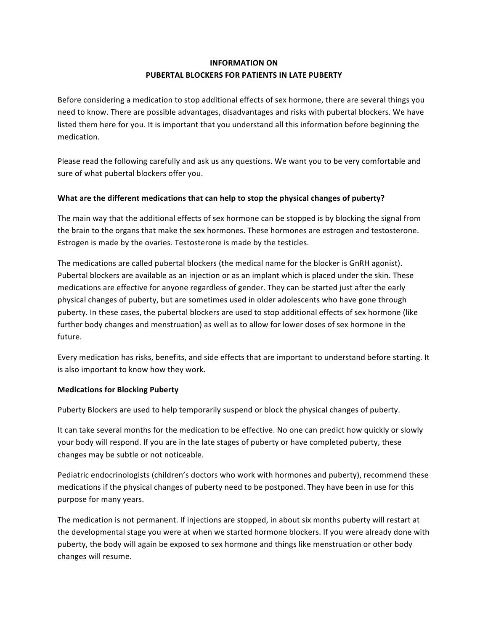# **INFORMATION ON PUBERTAL BLOCKERS FOR PATIENTS IN LATE PUBERTY**

Before considering a medication to stop additional effects of sex hormone, there are several things you need to know. There are possible advantages, disadvantages and risks with pubertal blockers. We have listed them here for you. It is important that you understand all this information before beginning the medication. 

Please read the following carefully and ask us any questions. We want you to be very comfortable and sure of what pubertal blockers offer you.

#### **What are the different medications that can help to stop the physical changes of puberty?**

The main way that the additional effects of sex hormone can be stopped is by blocking the signal from the brain to the organs that make the sex hormones. These hormones are estrogen and testosterone. Estrogen is made by the ovaries. Testosterone is made by the testicles.

The medications are called pubertal blockers (the medical name for the blocker is GnRH agonist). Pubertal blockers are available as an injection or as an implant which is placed under the skin. These medications are effective for anyone regardless of gender. They can be started just after the early physical changes of puberty, but are sometimes used in older adolescents who have gone through puberty. In these cases, the pubertal blockers are used to stop additional effects of sex hormone (like further body changes and menstruation) as well as to allow for lower doses of sex hormone in the future. 

Every medication has risks, benefits, and side effects that are important to understand before starting. It is also important to know how they work.

#### **Medications for Blocking Puberty**

Puberty Blockers are used to help temporarily suspend or block the physical changes of puberty.

It can take several months for the medication to be effective. No one can predict how quickly or slowly your body will respond. If you are in the late stages of puberty or have completed puberty, these changes may be subtle or not noticeable.

Pediatric endocrinologists (children's doctors who work with hormones and puberty), recommend these medications if the physical changes of puberty need to be postponed. They have been in use for this purpose for many years.

The medication is not permanent. If injections are stopped, in about six months puberty will restart at the developmental stage you were at when we started hormone blockers. If you were already done with puberty, the body will again be exposed to sex hormone and things like menstruation or other body changes will resume.